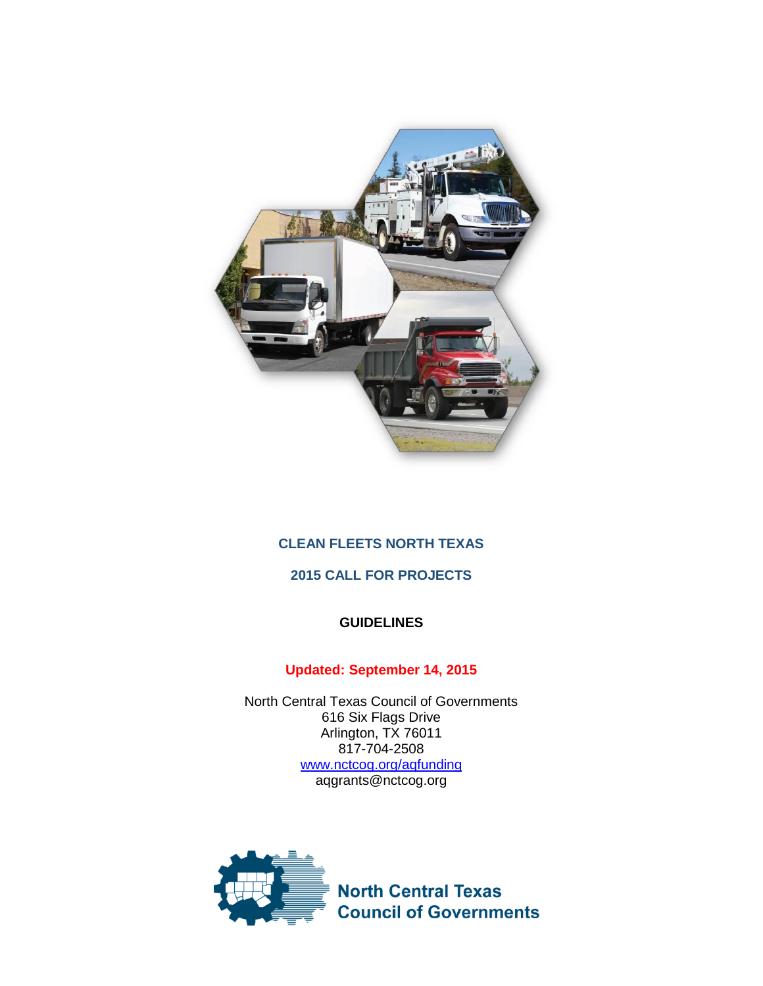

## **CLEAN FLEETS NORTH TEXAS**

# **2015 CALL FOR PROJECTS**

## **GUIDELINES**

# **Updated: September 14, 2015**

North Central Texas Council of Governments 616 Six Flags Drive Arlington, TX 76011 817-704-2508 [www.nctcog.org/aqfunding](http://www.nctcog.org/aqfunding) aqgrants@nctcog.org

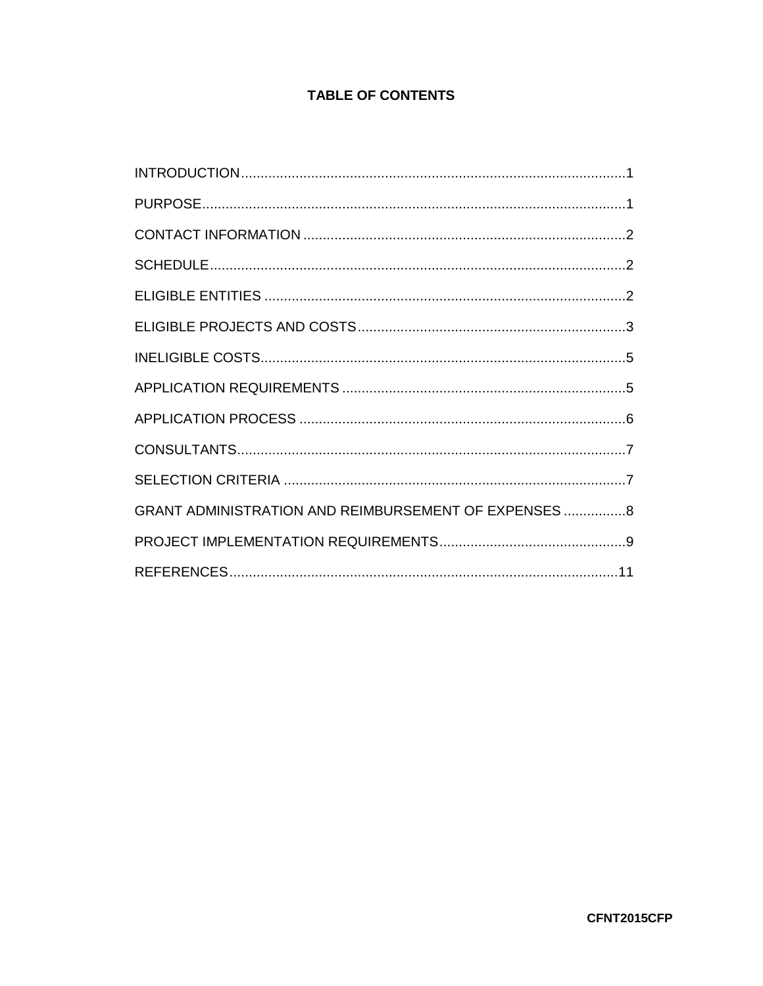# **TABLE OF CONTENTS**

| GRANT ADMINISTRATION AND REIMBURSEMENT OF EXPENSES  8 |  |
|-------------------------------------------------------|--|
|                                                       |  |
|                                                       |  |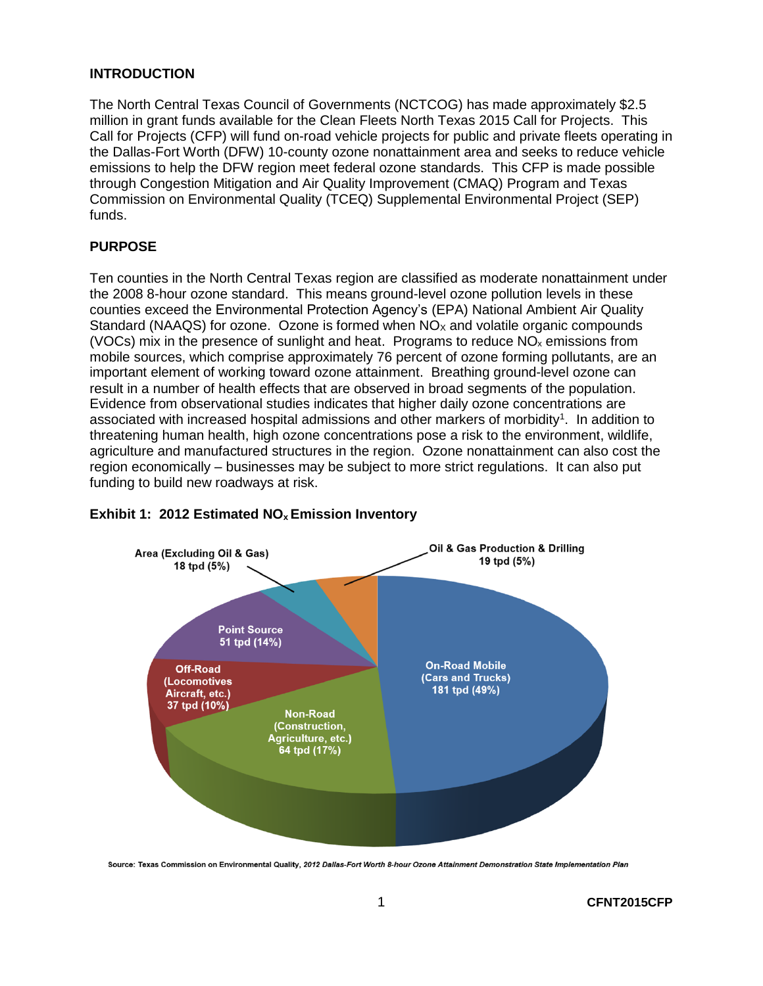#### <span id="page-2-0"></span>**INTRODUCTION**

The North Central Texas Council of Governments (NCTCOG) has made approximately \$2.5 million in grant funds available for the Clean Fleets North Texas 2015 Call for Projects. This Call for Projects (CFP) will fund on-road vehicle projects for public and private fleets operating in the Dallas-Fort Worth (DFW) 10-county ozone nonattainment area and seeks to reduce vehicle emissions to help the DFW region meet federal ozone standards. This CFP is made possible through Congestion Mitigation and Air Quality Improvement (CMAQ) Program and Texas Commission on Environmental Quality (TCEQ) Supplemental Environmental Project (SEP) funds.

## <span id="page-2-1"></span>**PURPOSE**

Ten counties in the North Central Texas region are classified as moderate nonattainment under the 2008 8-hour ozone standard. This means ground-level ozone pollution levels in these counties exceed the Environmental Protection Agency's (EPA) National Ambient Air Quality Standard (NAAQS) for ozone. Ozone is formed when  $NO<sub>x</sub>$  and volatile organic compounds (VOCs) mix in the presence of sunlight and heat. Programs to reduce  $NO<sub>x</sub>$  emissions from mobile sources, which comprise approximately 76 percent of ozone forming pollutants, are an important element of working toward ozone attainment. Breathing ground-level ozone can result in a number of health effects that are observed in broad segments of the population. Evidence from observational studies indicates that higher daily ozone concentrations are associated with increased hospital admissions and other markers of morbidity<sup>1</sup>. In addition to threatening human health, high ozone concentrations pose a risk to the environment, wildlife, agriculture and manufactured structures in the region. Ozone nonattainment can also cost the region economically – businesses may be subject to more strict regulations. It can also put funding to build new roadways at risk.



## **Exhibit 1: 2012 Estimated NOx Emission Inventory**

Source: Texas Commission on Environmental Quality, 2012 Dallas-Fort Worth 8-hour Ozone Attainment Demonstration State Implementation Plan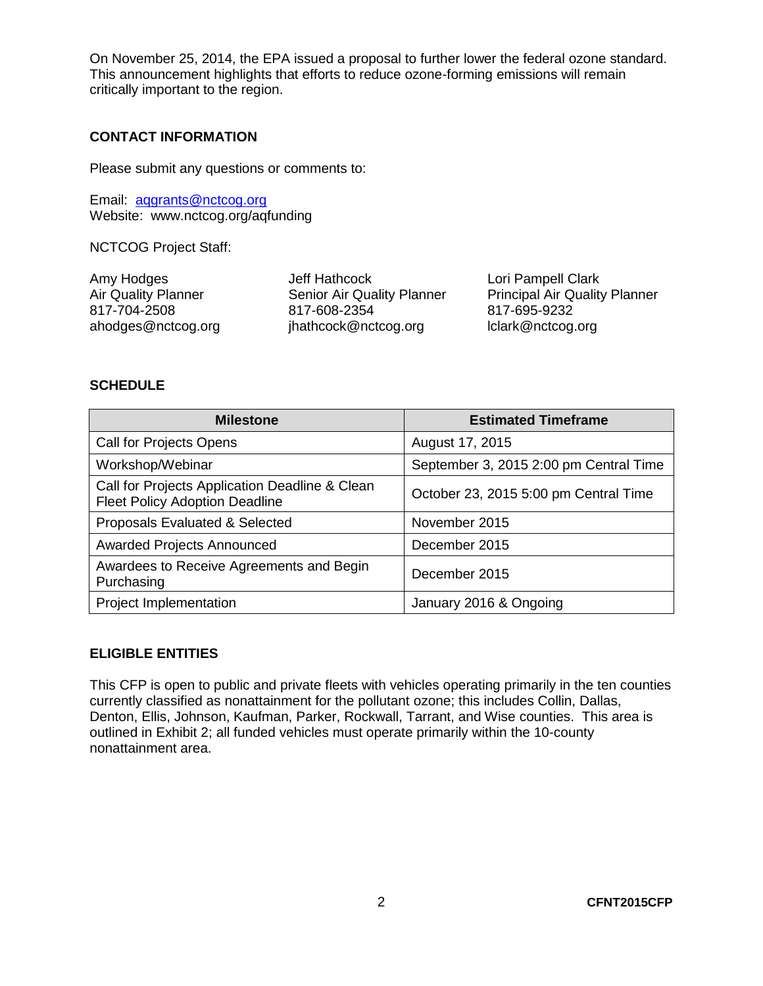On November 25, 2014, the EPA issued a proposal to further lower the federal ozone standard. This announcement highlights that efforts to reduce ozone-forming emissions will remain critically important to the region.

#### <span id="page-3-0"></span>**CONTACT INFORMATION**

Please submit any questions or comments to:

Email: [aqgrants@nctcog.org](mailto:aqgrants@nctcog.org) Website: www.nctcog.org/aqfunding

NCTCOG Project Staff:

| Jeff Hathcock                     | Lori Pampell Clark                   |
|-----------------------------------|--------------------------------------|
| <b>Senior Air Quality Planner</b> | <b>Principal Air Quality Planner</b> |
| 817-608-2354                      | 817-695-9232                         |
| jhathcock@nctcog.org              | lclark@nctcog.org                    |
|                                   |                                      |

#### <span id="page-3-1"></span>**SCHEDULE**

| <b>Milestone</b>                                                                        | <b>Estimated Timeframe</b>             |
|-----------------------------------------------------------------------------------------|----------------------------------------|
| <b>Call for Projects Opens</b>                                                          | August 17, 2015                        |
| Workshop/Webinar                                                                        | September 3, 2015 2:00 pm Central Time |
| Call for Projects Application Deadline & Clean<br><b>Fleet Policy Adoption Deadline</b> | October 23, 2015 5:00 pm Central Time  |
| Proposals Evaluated & Selected                                                          | November 2015                          |
| <b>Awarded Projects Announced</b>                                                       | December 2015                          |
| Awardees to Receive Agreements and Begin<br>Purchasing                                  | December 2015                          |
| Project Implementation                                                                  | January 2016 & Ongoing                 |

### <span id="page-3-2"></span>**ELIGIBLE ENTITIES**

This CFP is open to public and private fleets with vehicles operating primarily in the ten counties currently classified as nonattainment for the pollutant ozone; this includes Collin, Dallas, Denton, Ellis, Johnson, Kaufman, Parker, Rockwall, Tarrant, and Wise counties. This area is outlined in Exhibit 2; all funded vehicles must operate primarily within the 10-county nonattainment area.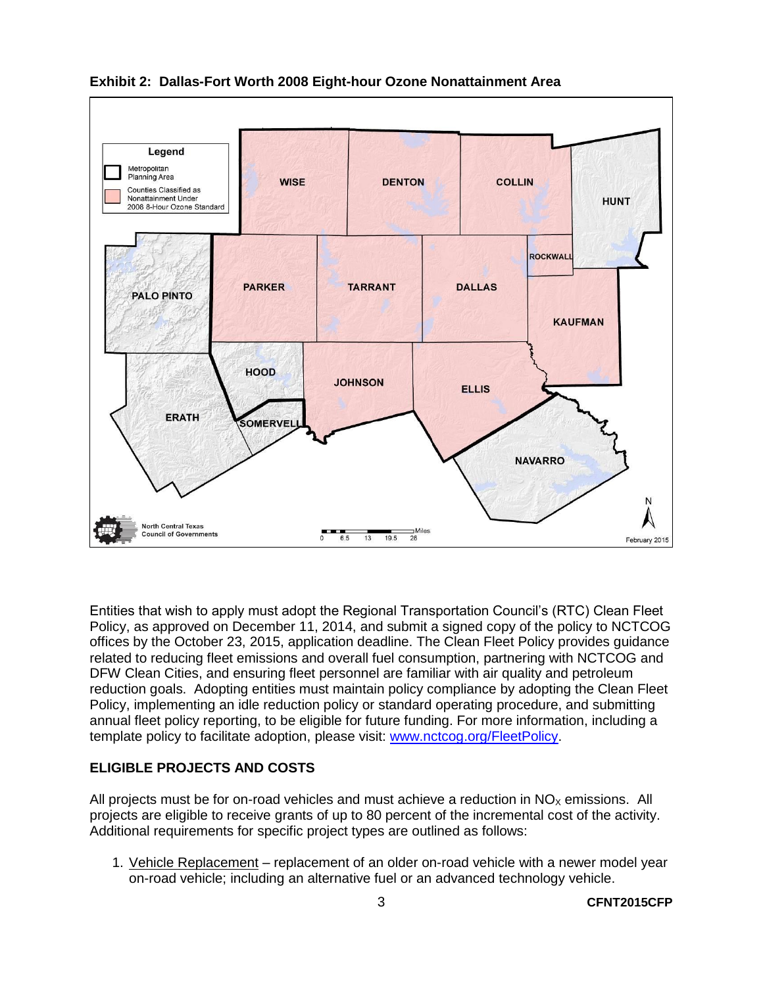

**Exhibit 2: Dallas-Fort Worth 2008 Eight-hour Ozone Nonattainment Area**

Entities that wish to apply must adopt the Regional Transportation Council's (RTC) Clean Fleet Policy, as approved on December 11, 2014, and submit a signed copy of the policy to NCTCOG offices by the October 23, 2015, application deadline. The Clean Fleet Policy provides guidance related to reducing fleet emissions and overall fuel consumption, partnering with NCTCOG and DFW Clean Cities, and ensuring fleet personnel are familiar with air quality and petroleum reduction goals. Adopting entities must maintain policy compliance by adopting the Clean Fleet Policy, implementing an idle reduction policy or standard operating procedure, and submitting annual fleet policy reporting, to be eligible for future funding. For more information, including a template policy to facilitate adoption, please visit: [www.nctcog.org/FleetPolicy.](http://www.nctcog.org/FleetPolicy)

## <span id="page-4-0"></span>**ELIGIBLE PROJECTS AND COSTS**

All projects must be for on-road vehicles and must achieve a reduction in  $NO<sub>x</sub>$  emissions. All projects are eligible to receive grants of up to 80 percent of the incremental cost of the activity. Additional requirements for specific project types are outlined as follows:

1. Vehicle Replacement – replacement of an older on-road vehicle with a newer model year on-road vehicle; including an alternative fuel or an advanced technology vehicle.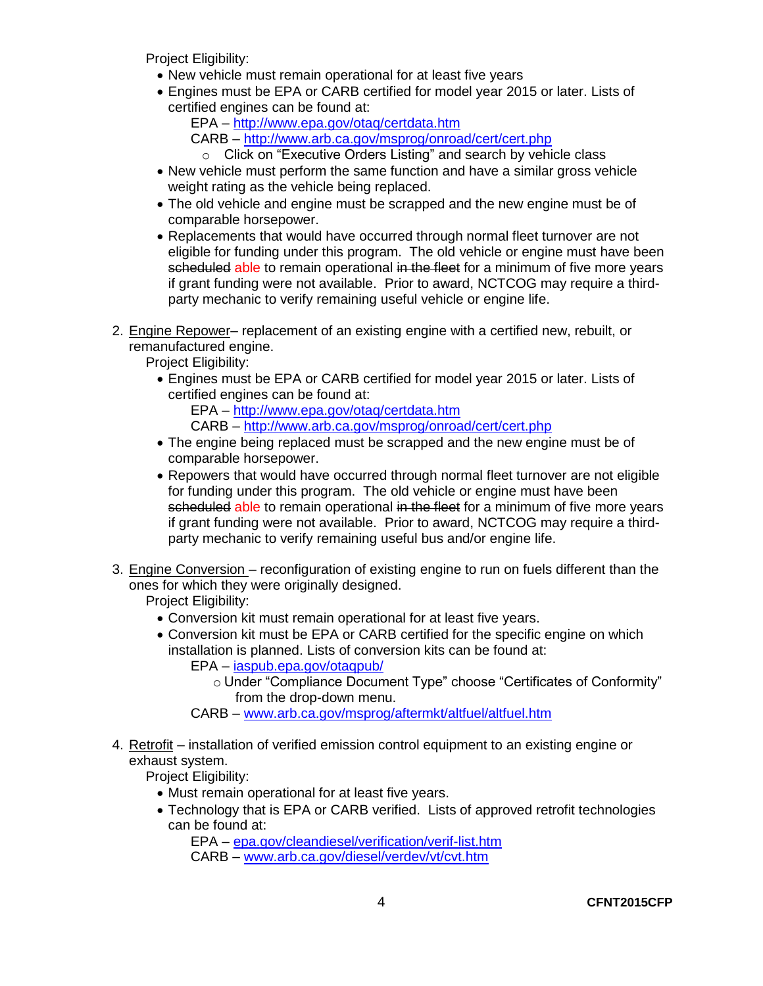Project Eligibility:

- New vehicle must remain operational for at least five years
- Engines must be EPA or CARB certified for model year 2015 or later. Lists of certified engines can be found at:
	- EPA <http://www.epa.gov/otaq/certdata.htm>
	- CARB <http://www.arb.ca.gov/msprog/onroad/cert/cert.php>
		- o Click on "Executive Orders Listing" and search by vehicle class
- New vehicle must perform the same function and have a similar gross vehicle weight rating as the vehicle being replaced.
- The old vehicle and engine must be scrapped and the new engine must be of comparable horsepower.
- Replacements that would have occurred through normal fleet turnover are not eligible for funding under this program. The old vehicle or engine must have been scheduled able to remain operational in the fleet for a minimum of five more years if grant funding were not available. Prior to award, NCTCOG may require a thirdparty mechanic to verify remaining useful vehicle or engine life.
- 2. Engine Repower– replacement of an existing engine with a certified new, rebuilt, or remanufactured engine.

Project Eligibility:

 Engines must be EPA or CARB certified for model year 2015 or later. Lists of certified engines can be found at:

EPA – <http://www.epa.gov/otaq/certdata.htm> CARB – <http://www.arb.ca.gov/msprog/onroad/cert/cert.php>

- The engine being replaced must be scrapped and the new engine must be of comparable horsepower.
- Repowers that would have occurred through normal fleet turnover are not eligible for funding under this program. The old vehicle or engine must have been scheduled able to remain operational in the fleet for a minimum of five more years if grant funding were not available. Prior to award, NCTCOG may require a thirdparty mechanic to verify remaining useful bus and/or engine life.
- 3. Engine Conversion reconfiguration of existing engine to run on fuels different than the ones for which they were originally designed.

Project Eligibility:

- Conversion kit must remain operational for at least five years.
- Conversion kit must be EPA or CARB certified for the specific engine on which installation is planned. Lists of conversion kits can be found at: EPA – [iaspub.epa.gov/otaqpub/](http://iaspub.epa.gov/otaqpub/)
	- o Under "Compliance Document Type" choose "Certificates of Conformity" from the drop-down menu.
	- CARB [www.arb.ca.gov/msprog/aftermkt/altfuel/altfuel.htm](http://www.arb.ca.gov/msprog/aftermkt/altfuel/altfuel.htm)
- 4. Retrofit installation of verified emission control equipment to an existing engine or exhaust system.

Project Eligibility:

- Must remain operational for at least five years.
- Technology that is EPA or CARB verified. Lists of approved retrofit technologies can be found at:

EPA – [epa.gov/cleandiesel/verification/verif-list.htm](http://epa.gov/cleandiesel/verification/verif-list.htm) CARB – [www.arb.ca.gov/diesel/verdev/vt/cvt.htm](http://www.arb.ca.gov/diesel/verdev/vt/cvt.htm)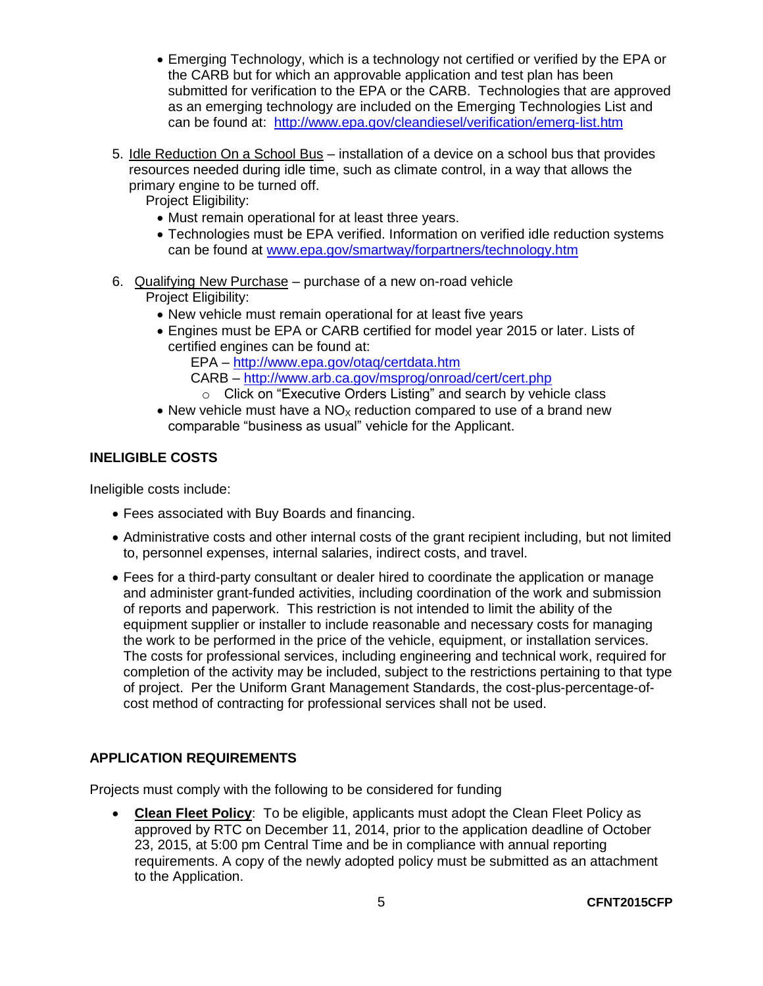- Emerging Technology, which is a technology not certified or verified by the EPA or the CARB but for which an approvable application and test plan has been submitted for verification to the EPA or the CARB. Technologies that are approved as an emerging technology are included on the Emerging Technologies List and can be found at: <http://www.epa.gov/cleandiesel/verification/emerg-list.htm>
- 5. Idle Reduction On a School Bus installation of a device on a school bus that provides resources needed during idle time, such as climate control, in a way that allows the primary engine to be turned off.

Project Eligibility:

- Must remain operational for at least three years.
- Technologies must be EPA verified. Information on verified idle reduction systems can be found at [www.epa.gov/smartway/forpartners/technology.htm](http://www.epa.gov/smartway/forpartners/technology.htm)
- 6. Qualifying New Purchase purchase of a new on-road vehicle

Project Eligibility:

- New vehicle must remain operational for at least five years
- Engines must be EPA or CARB certified for model year 2015 or later. Lists of certified engines can be found at:

EPA – <http://www.epa.gov/otaq/certdata.htm>

CARB – <http://www.arb.ca.gov/msprog/onroad/cert/cert.php>

- o Click on "Executive Orders Listing" and search by vehicle class
- New vehicle must have a  $NO<sub>X</sub>$  reduction compared to use of a brand new comparable "business as usual" vehicle for the Applicant.

# <span id="page-6-0"></span>**INELIGIBLE COSTS**

Ineligible costs include:

- Fees associated with Buy Boards and financing.
- Administrative costs and other internal costs of the grant recipient including, but not limited to, personnel expenses, internal salaries, indirect costs, and travel.
- Fees for a third-party consultant or dealer hired to coordinate the application or manage and administer grant-funded activities, including coordination of the work and submission of reports and paperwork. This restriction is not intended to limit the ability of the equipment supplier or installer to include reasonable and necessary costs for managing the work to be performed in the price of the vehicle, equipment, or installation services. The costs for professional services, including engineering and technical work, required for completion of the activity may be included, subject to the restrictions pertaining to that type of project. Per the Uniform Grant Management Standards, the cost-plus-percentage-ofcost method of contracting for professional services shall not be used.

# <span id="page-6-1"></span>**APPLICATION REQUIREMENTS**

Projects must comply with the following to be considered for funding

 **Clean Fleet Policy**: To be eligible, applicants must adopt the Clean Fleet Policy as approved by RTC on December 11, 2014, prior to the application deadline of October 23, 2015, at 5:00 pm Central Time and be in compliance with annual reporting requirements. A copy of the newly adopted policy must be submitted as an attachment to the Application.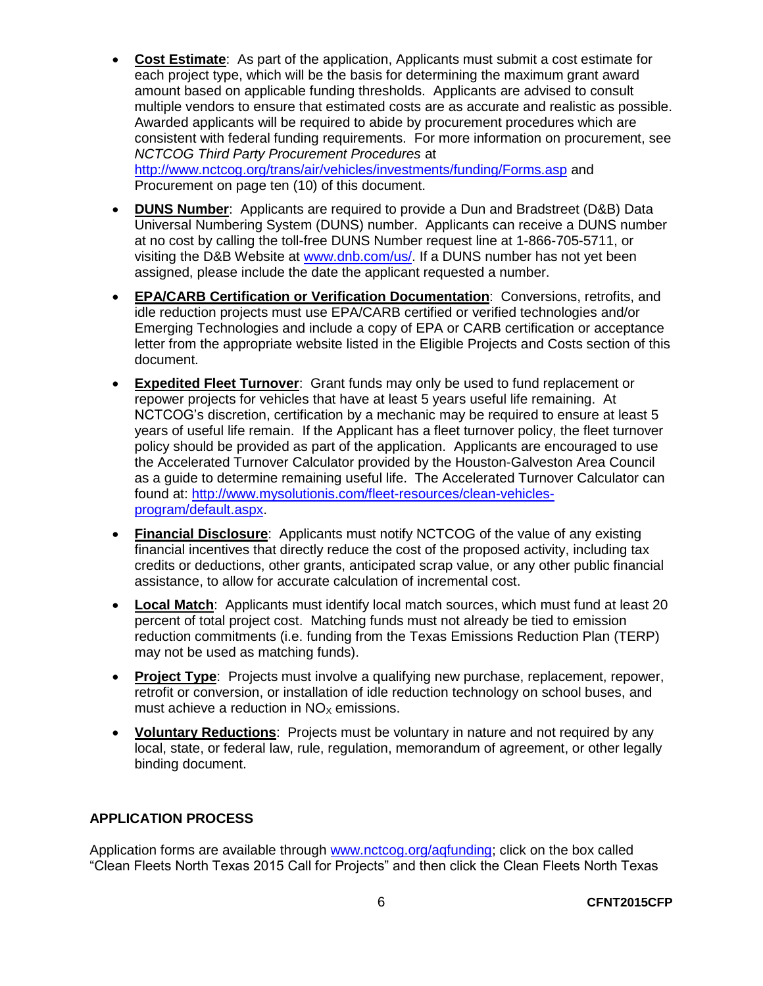- **Cost Estimate**: As part of the application, Applicants must submit a cost estimate for each project type, which will be the basis for determining the maximum grant award amount based on applicable funding thresholds. Applicants are advised to consult multiple vendors to ensure that estimated costs are as accurate and realistic as possible. Awarded applicants will be required to abide by procurement procedures which are consistent with federal funding requirements. For more information on procurement, see *NCTCOG Third Party Procurement Procedures* at <http://www.nctcog.org/trans/air/vehicles/investments/funding/Forms.asp> and Procurement on page ten (10) of this document.
- **DUNS Number**: Applicants are required to provide a Dun and Bradstreet (D&B) Data Universal Numbering System (DUNS) number. Applicants can receive a DUNS number at no cost by calling the toll-free DUNS Number request line at 1-866-705-5711, or visiting the D&B Website at [www.dnb.com/us/.](http://www.dnb.com/us/) If a DUNS number has not vet been assigned, please include the date the applicant requested a number.
- **EPA/CARB Certification or Verification Documentation**: Conversions, retrofits, and idle reduction projects must use EPA/CARB certified or verified technologies and/or Emerging Technologies and include a copy of EPA or CARB certification or acceptance letter from the appropriate website listed in the Eligible Projects and Costs section of this document.
- **Expedited Fleet Turnover**: Grant funds may only be used to fund replacement or repower projects for vehicles that have at least 5 years useful life remaining. At NCTCOG's discretion, certification by a mechanic may be required to ensure at least 5 years of useful life remain. If the Applicant has a fleet turnover policy, the fleet turnover policy should be provided as part of the application. Applicants are encouraged to use the Accelerated Turnover Calculator provided by the Houston-Galveston Area Council as a guide to determine remaining useful life. The Accelerated Turnover Calculator can found at: [http://www.mysolutionis.com/fleet-resources/clean-vehicles](http://www.mysolutionis.com/fleet-resources/clean-vehicles-program/default.aspx)[program/default.aspx.](http://www.mysolutionis.com/fleet-resources/clean-vehicles-program/default.aspx)
- **Financial Disclosure**: Applicants must notify NCTCOG of the value of any existing financial incentives that directly reduce the cost of the proposed activity, including tax credits or deductions, other grants, anticipated scrap value, or any other public financial assistance, to allow for accurate calculation of incremental cost.
- **Local Match**: Applicants must identify local match sources, which must fund at least 20 percent of total project cost. Matching funds must not already be tied to emission reduction commitments (i.e. funding from the Texas Emissions Reduction Plan (TERP) may not be used as matching funds).
- **Project Type**: Projects must involve a qualifying new purchase, replacement, repower, retrofit or conversion, or installation of idle reduction technology on school buses, and must achieve a reduction in  $NO<sub>x</sub>$  emissions.
- **Voluntary Reductions**: Projects must be voluntary in nature and not required by any local, state, or federal law, rule, regulation, memorandum of agreement, or other legally binding document.

# <span id="page-7-0"></span>**APPLICATION PROCESS**

Application forms are available through [www.nctcog.org/aqfunding;](http://www.nctcog.org/aqfunding) click on the box called "Clean Fleets North Texas 2015 Call for Projects" and then click the Clean Fleets North Texas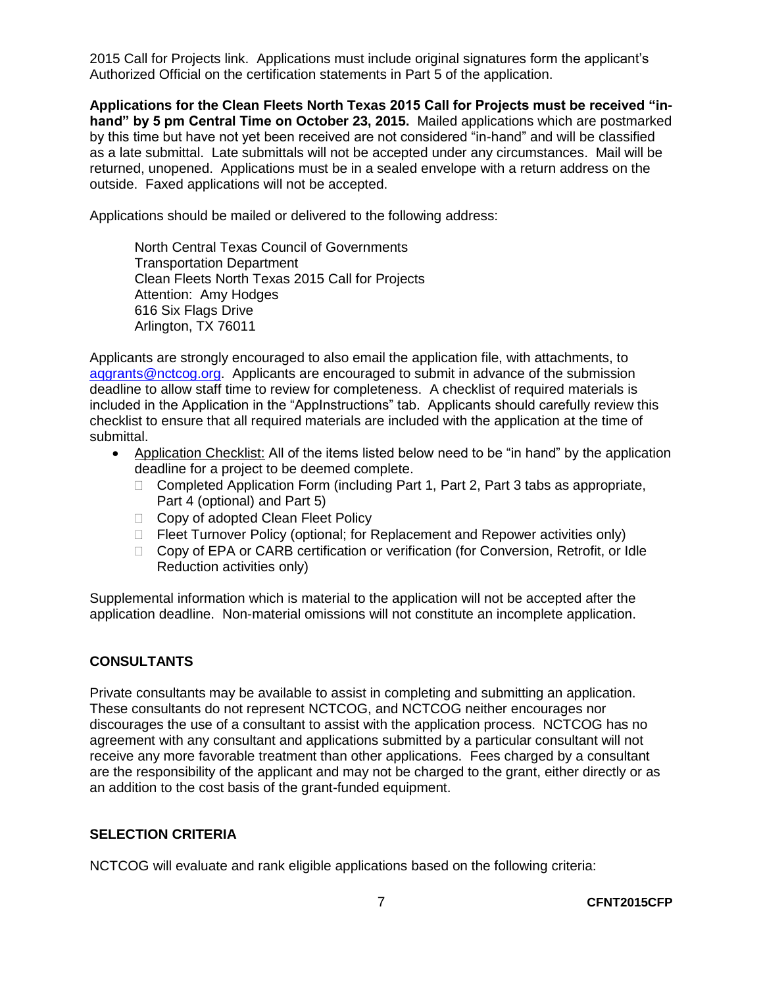2015 Call for Projects link. Applications must include original signatures form the applicant's Authorized Official on the certification statements in Part 5 of the application.

**Applications for the Clean Fleets North Texas 2015 Call for Projects must be received "inhand" by 5 pm Central Time on October 23, 2015.** Mailed applications which are postmarked by this time but have not yet been received are not considered "in-hand" and will be classified as a late submittal. Late submittals will not be accepted under any circumstances. Mail will be returned, unopened. Applications must be in a sealed envelope with a return address on the outside. Faxed applications will not be accepted.

Applications should be mailed or delivered to the following address:

North Central Texas Council of Governments Transportation Department Clean Fleets North Texas 2015 Call for Projects Attention: Amy Hodges 616 Six Flags Drive Arlington, TX 76011

Applicants are strongly encouraged to also email the application file, with attachments, to [aqgrants@nctcog.org.](mailto:aqgrants@nctcog.org) Applicants are encouraged to submit in advance of the submission deadline to allow staff time to review for completeness. A checklist of required materials is included in the Application in the "AppInstructions" tab. Applicants should carefully review this checklist to ensure that all required materials are included with the application at the time of submittal.

- Application Checklist: All of the items listed below need to be "in hand" by the application deadline for a project to be deemed complete.
	- $\Box$  Completed Application Form (including Part 1, Part 2, Part 3 tabs as appropriate, Part 4 (optional) and Part 5)
	- □ Copy of adopted Clean Fleet Policy
	- □ Fleet Turnover Policy (optional; for Replacement and Repower activities only)
	- □ Copy of EPA or CARB certification or verification (for Conversion, Retrofit, or Idle Reduction activities only)

Supplemental information which is material to the application will not be accepted after the application deadline. Non-material omissions will not constitute an incomplete application.

## <span id="page-8-0"></span>**CONSULTANTS**

Private consultants may be available to assist in completing and submitting an application. These consultants do not represent NCTCOG, and NCTCOG neither encourages nor discourages the use of a consultant to assist with the application process. NCTCOG has no agreement with any consultant and applications submitted by a particular consultant will not receive any more favorable treatment than other applications. Fees charged by a consultant are the responsibility of the applicant and may not be charged to the grant, either directly or as an addition to the cost basis of the grant-funded equipment.

## <span id="page-8-1"></span>**SELECTION CRITERIA**

NCTCOG will evaluate and rank eligible applications based on the following criteria: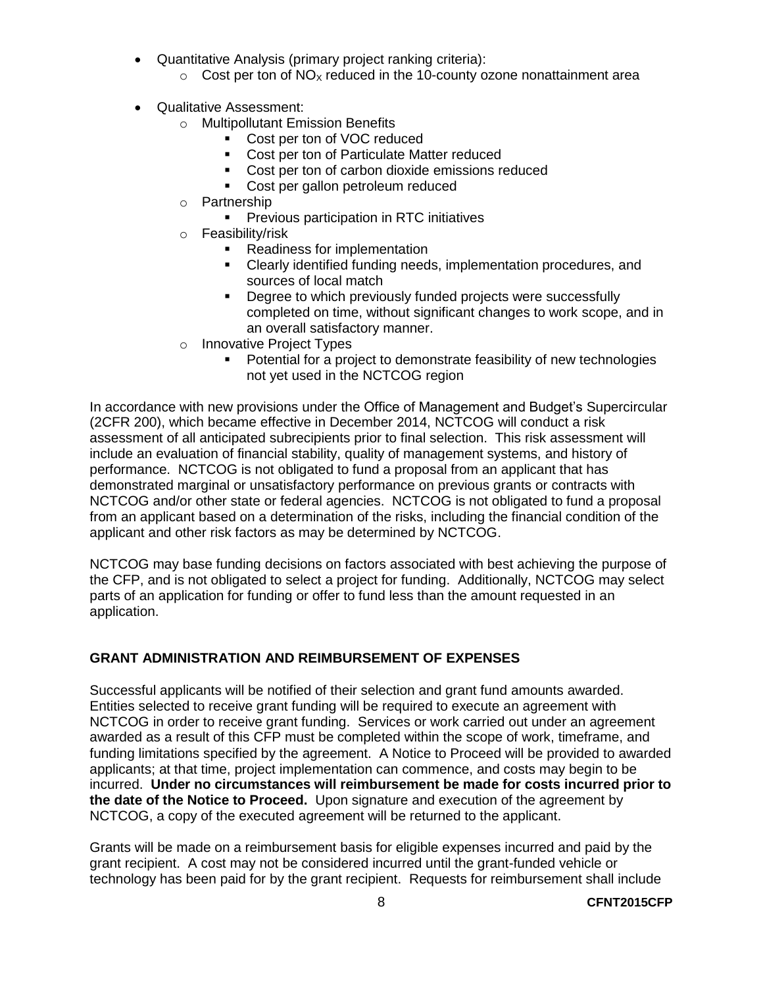- Quantitative Analysis (primary project ranking criteria):
	- $\circ$  Cost per ton of NO<sub>x</sub> reduced in the 10-county ozone nonattainment area
- Qualitative Assessment:
	- o Multipollutant Emission Benefits
		- **Cost per ton of VOC reduced** 
			- **Cost per ton of Particulate Matter reduced**
			- **Cost per ton of carbon dioxide emissions reduced**
			- Cost per gallon petroleum reduced
	- o Partnership
		- Previous participation in RTC initiatives
	- o Feasibility/risk
		- Readiness for implementation
		- Clearly identified funding needs, implementation procedures, and sources of local match
		- **-** Degree to which previously funded projects were successfully completed on time, without significant changes to work scope, and in an overall satisfactory manner.
	- o Innovative Project Types
		- Potential for a project to demonstrate feasibility of new technologies not yet used in the NCTCOG region

In accordance with new provisions under the Office of Management and Budget's Supercircular (2CFR 200), which became effective in December 2014, NCTCOG will conduct a risk assessment of all anticipated subrecipients prior to final selection. This risk assessment will include an evaluation of financial stability, quality of management systems, and history of performance. NCTCOG is not obligated to fund a proposal from an applicant that has demonstrated marginal or unsatisfactory performance on previous grants or contracts with NCTCOG and/or other state or federal agencies. NCTCOG is not obligated to fund a proposal from an applicant based on a determination of the risks, including the financial condition of the applicant and other risk factors as may be determined by NCTCOG.

NCTCOG may base funding decisions on factors associated with best achieving the purpose of the CFP, and is not obligated to select a project for funding. Additionally, NCTCOG may select parts of an application for funding or offer to fund less than the amount requested in an application.

# <span id="page-9-0"></span>**GRANT ADMINISTRATION AND REIMBURSEMENT OF EXPENSES**

Successful applicants will be notified of their selection and grant fund amounts awarded. Entities selected to receive grant funding will be required to execute an agreement with NCTCOG in order to receive grant funding. Services or work carried out under an agreement awarded as a result of this CFP must be completed within the scope of work, timeframe, and funding limitations specified by the agreement. A Notice to Proceed will be provided to awarded applicants; at that time, project implementation can commence, and costs may begin to be incurred. **Under no circumstances will reimbursement be made for costs incurred prior to the date of the Notice to Proceed.** Upon signature and execution of the agreement by NCTCOG, a copy of the executed agreement will be returned to the applicant.

Grants will be made on a reimbursement basis for eligible expenses incurred and paid by the grant recipient. A cost may not be considered incurred until the grant-funded vehicle or technology has been paid for by the grant recipient. Requests for reimbursement shall include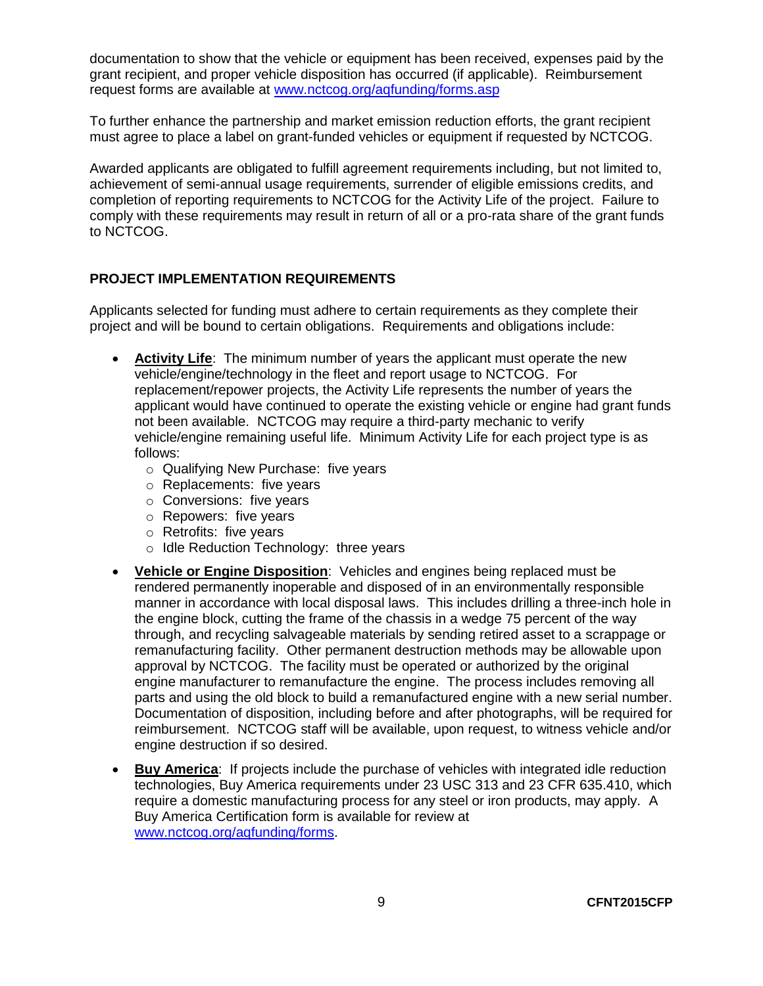documentation to show that the vehicle or equipment has been received, expenses paid by the grant recipient, and proper vehicle disposition has occurred (if applicable). Reimbursement request forms are available at [www.nctcog.org/aqfunding/forms.asp](http://www.nctcog.org/trans/air/vehicles/investments/funding/forms.asp)

To further enhance the partnership and market emission reduction efforts, the grant recipient must agree to place a label on grant-funded vehicles or equipment if requested by NCTCOG.

Awarded applicants are obligated to fulfill agreement requirements including, but not limited to, achievement of semi-annual usage requirements, surrender of eligible emissions credits, and completion of reporting requirements to NCTCOG for the Activity Life of the project. Failure to comply with these requirements may result in return of all or a pro-rata share of the grant funds to NCTCOG.

#### <span id="page-10-0"></span>**PROJECT IMPLEMENTATION REQUIREMENTS**

Applicants selected for funding must adhere to certain requirements as they complete their project and will be bound to certain obligations. Requirements and obligations include:

- **Activity Life**: The minimum number of years the applicant must operate the new vehicle/engine/technology in the fleet and report usage to NCTCOG. For replacement/repower projects, the Activity Life represents the number of years the applicant would have continued to operate the existing vehicle or engine had grant funds not been available. NCTCOG may require a third-party mechanic to verify vehicle/engine remaining useful life. Minimum Activity Life for each project type is as follows:
	- o Qualifying New Purchase: five years
	- o Replacements: five years
	- o Conversions: five years
	- o Repowers: five years
	- o Retrofits: five years
	- o Idle Reduction Technology: three years
- **Vehicle or Engine Disposition**: Vehicles and engines being replaced must be rendered permanently inoperable and disposed of in an environmentally responsible manner in accordance with local disposal laws. This includes drilling a three-inch hole in the engine block, cutting the frame of the chassis in a wedge 75 percent of the way through, and recycling salvageable materials by sending retired asset to a scrappage or remanufacturing facility. Other permanent destruction methods may be allowable upon approval by NCTCOG. The facility must be operated or authorized by the original engine manufacturer to remanufacture the engine. The process includes removing all parts and using the old block to build a remanufactured engine with a new serial number. Documentation of disposition, including before and after photographs, will be required for reimbursement. NCTCOG staff will be available, upon request, to witness vehicle and/or engine destruction if so desired.
- **Buy America**: If projects include the purchase of vehicles with integrated idle reduction technologies, Buy America requirements under 23 USC 313 and 23 CFR 635.410, which require a domestic manufacturing process for any steel or iron products, may apply. A Buy America Certification form is available for review at [www.nctcog.org/aqfunding/forms.](http://www.nctcog.org/aqfunding/forms)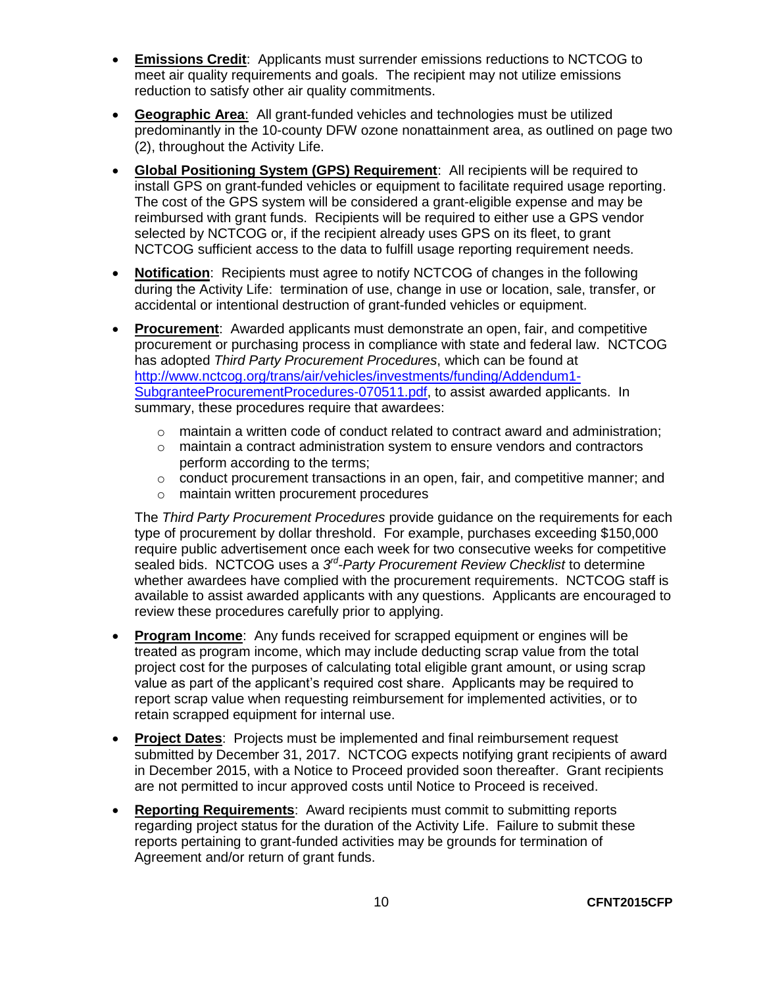- **Emissions Credit**: Applicants must surrender emissions reductions to NCTCOG to meet air quality requirements and goals. The recipient may not utilize emissions reduction to satisfy other air quality commitments.
- **Geographic Area**: All grant-funded vehicles and technologies must be utilized predominantly in the 10-county DFW ozone nonattainment area, as outlined on page two (2), throughout the Activity Life.
- **Global Positioning System (GPS) Requirement**: All recipients will be required to install GPS on grant-funded vehicles or equipment to facilitate required usage reporting. The cost of the GPS system will be considered a grant-eligible expense and may be reimbursed with grant funds. Recipients will be required to either use a GPS vendor selected by NCTCOG or, if the recipient already uses GPS on its fleet, to grant NCTCOG sufficient access to the data to fulfill usage reporting requirement needs.
- **Notification**: Recipients must agree to notify NCTCOG of changes in the following during the Activity Life: termination of use, change in use or location, sale, transfer, or accidental or intentional destruction of grant-funded vehicles or equipment.
- **Procurement**: Awarded applicants must demonstrate an open, fair, and competitive procurement or purchasing process in compliance with state and federal law. NCTCOG has adopted *Third Party Procurement Procedures*, which can be found at [http://www.nctcog.org/trans/air/vehicles/investments/funding/Addendum1-](http://www.nctcog.org/trans/air/vehicles/investments/funding/Addendum1-SubgranteeProcurementProcedures-070511.pdf) [SubgranteeProcurementProcedures-070511.pdf,](http://www.nctcog.org/trans/air/vehicles/investments/funding/Addendum1-SubgranteeProcurementProcedures-070511.pdf) to assist awarded applicants. In summary, these procedures require that awardees:
	- o maintain a written code of conduct related to contract award and administration;
	- $\circ$  maintain a contract administration system to ensure vendors and contractors perform according to the terms;
	- o conduct procurement transactions in an open, fair, and competitive manner; and
	- o maintain written procurement procedures

The *Third Party Procurement Procedures* provide guidance on the requirements for each type of procurement by dollar threshold. For example, purchases exceeding \$150,000 require public advertisement once each week for two consecutive weeks for competitive sealed bids. NCTCOG uses a 3<sup>rd</sup>-Party Procurement Review Checklist to determine whether awardees have complied with the procurement requirements. NCTCOG staff is available to assist awarded applicants with any questions. Applicants are encouraged to review these procedures carefully prior to applying.

- **Program Income**: Any funds received for scrapped equipment or engines will be treated as program income, which may include deducting scrap value from the total project cost for the purposes of calculating total eligible grant amount, or using scrap value as part of the applicant's required cost share. Applicants may be required to report scrap value when requesting reimbursement for implemented activities, or to retain scrapped equipment for internal use.
- **Project Dates**: Projects must be implemented and final reimbursement request submitted by December 31, 2017. NCTCOG expects notifying grant recipients of award in December 2015, with a Notice to Proceed provided soon thereafter. Grant recipients are not permitted to incur approved costs until Notice to Proceed is received.
- **Reporting Requirements**: Award recipients must commit to submitting reports regarding project status for the duration of the Activity Life. Failure to submit these reports pertaining to grant-funded activities may be grounds for termination of Agreement and/or return of grant funds.